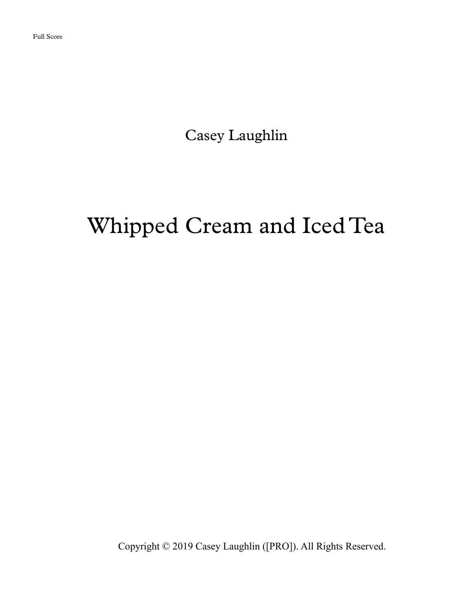Casey Laughlin

## Whipped Cream and Iced Tea

Copyright © 2019 Casey Laughlin ([PRO]). All Rights Reserved.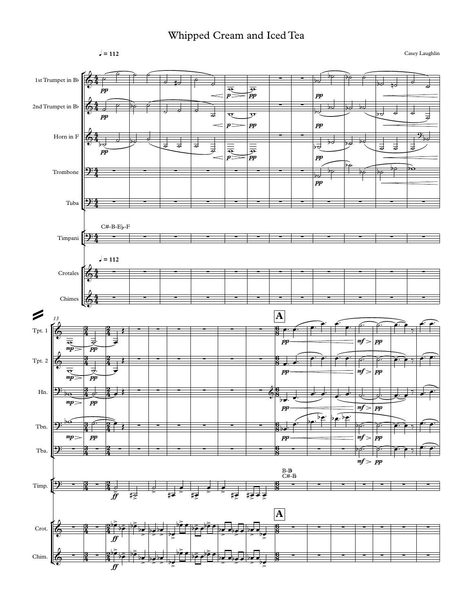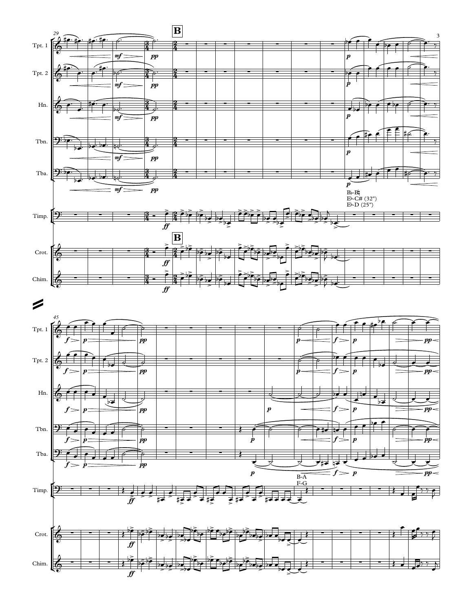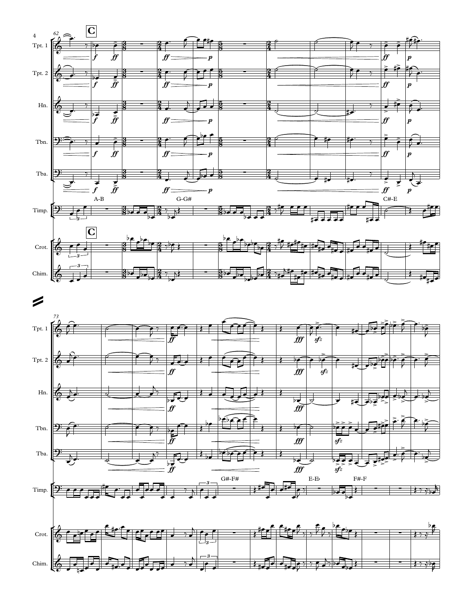

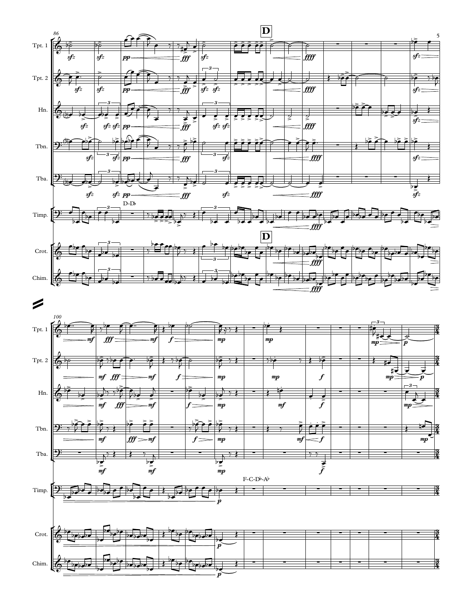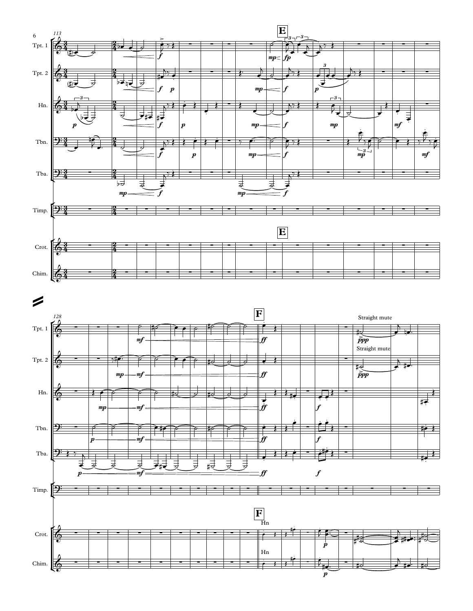

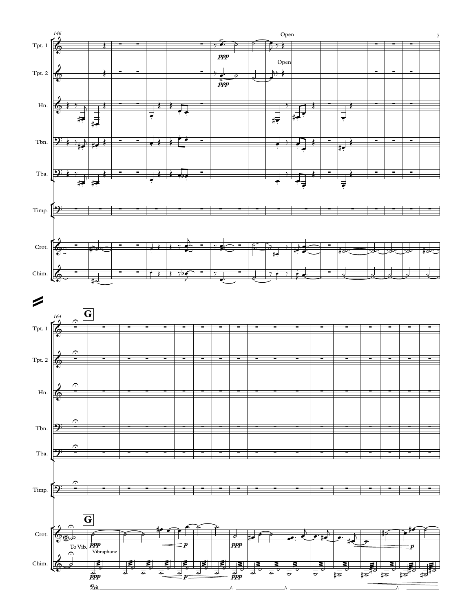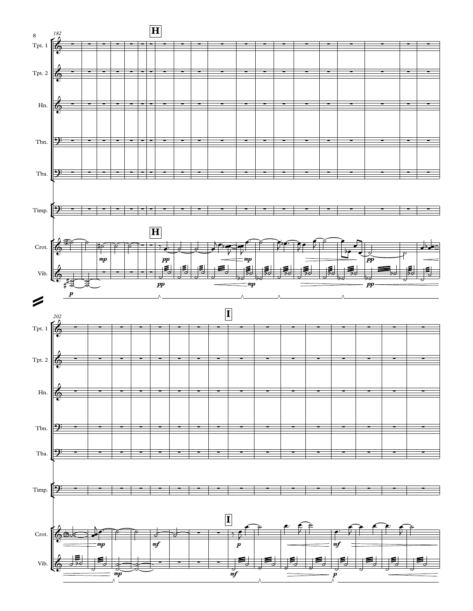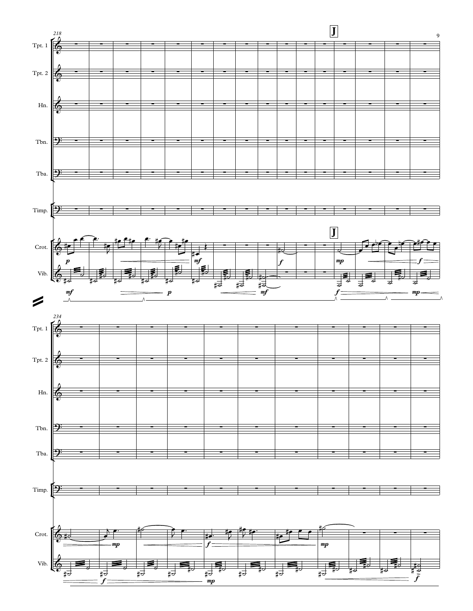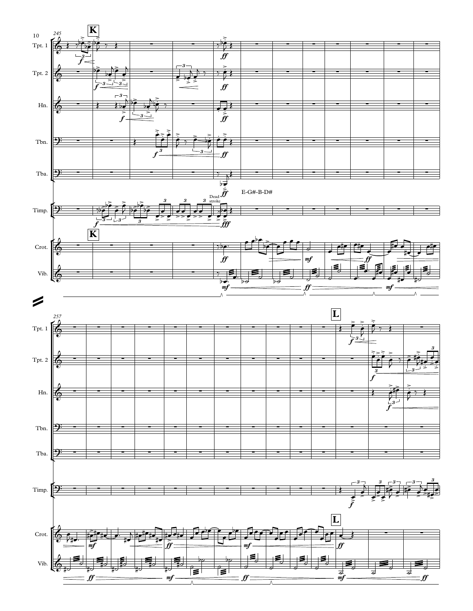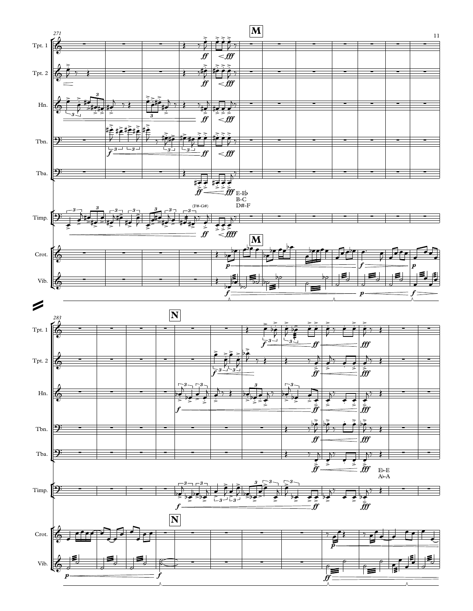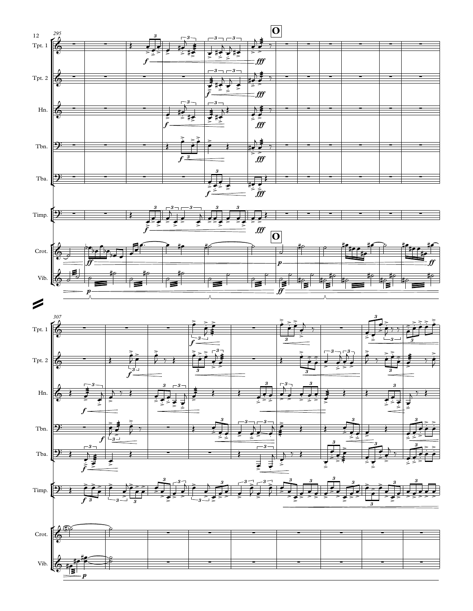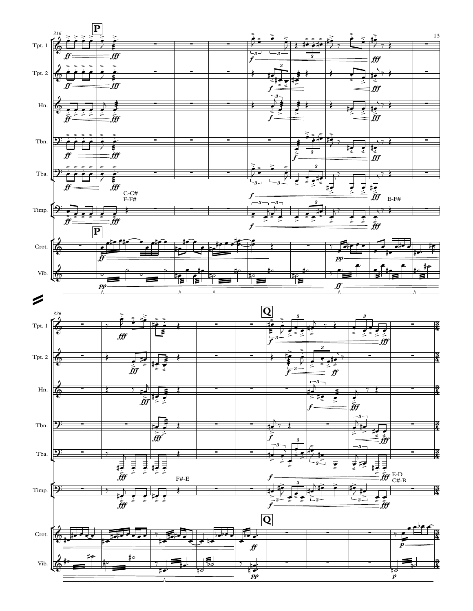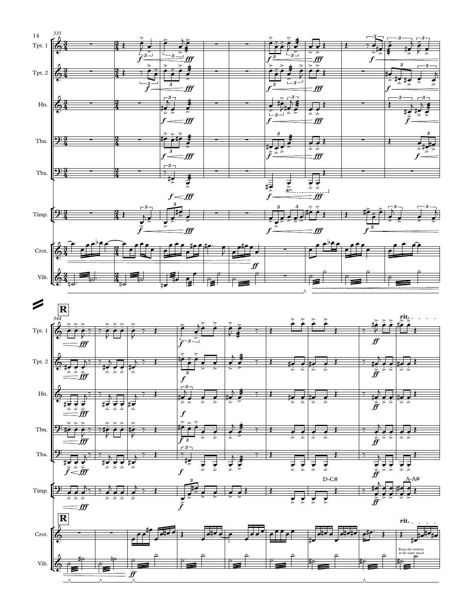